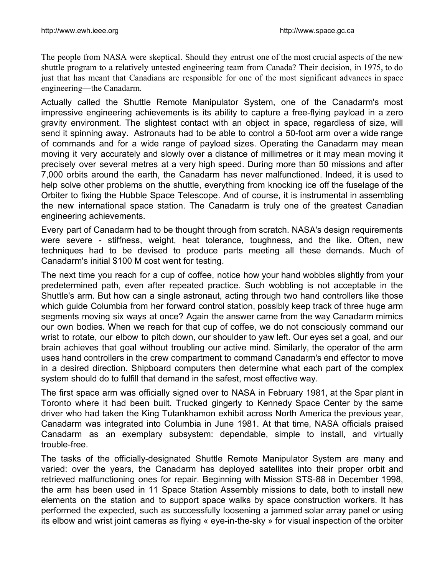The people from NASA were skeptical. Should they entrust one of the most crucial aspects of the new shuttle program to a relatively untested engineering team from Canada? Their decision, in 1975, to do just that has meant that Canadians are responsible for one of the most significant advances in space engineering—the Canadarm.

Actually called the Shuttle Remote Manipulator System, one of the Canadarm's most impressive engineering achievements is its ability to capture a free-flying payload in a zero gravity environment. The slightest contact with an object in space, regardless of size, will send it spinning away. Astronauts had to be able to control a 50-foot arm over a wide range of commands and for a wide range of payload sizes. Operating the Canadarm may mean moving it very accurately and slowly over a distance of millimetres or it may mean moving it precisely over several metres at a very high speed. During more than 50 missions and after 7,000 orbits around the earth, the Canadarm has never malfunctioned. Indeed, it is used to help solve other problems on the shuttle, everything from knocking ice off the fuselage of the Orbiter to fixing the Hubble Space Telescope. And of course, it is instrumental in assembling the new international space station. The Canadarm is truly one of the greatest Canadian engineering achievements.

Every part of Canadarm had to be thought through from scratch. NASA's design requirements were severe - stiffness, weight, heat tolerance, toughness, and the like. Often, new techniques had to be devised to produce parts meeting all these demands. Much of Canadarm's initial \$100 M cost went for testing.

The next time you reach for a cup of coffee, notice how your hand wobbles slightly from your predetermined path, even after repeated practice. Such wobbling is not acceptable in the Shuttle's arm. But how can a single astronaut, acting through two hand controllers like those which guide Columbia from her forward control station, possibly keep track of three huge arm segments moving six ways at once? Again the answer came from the way Canadarm mimics our own bodies. When we reach for that cup of coffee, we do not consciously command our wrist to rotate, our elbow to pitch down, our shoulder to yaw left. Our eyes set a goal, and our brain achieves that goal without troubling our active mind. Similarly, the operator of the arm uses hand controllers in the crew compartment to command Canadarm's end effector to move in a desired direction. Shipboard computers then determine what each part of the complex system should do to fulfill that demand in the safest, most effective way.

The first space arm was officially signed over to NASA in February 1981, at the Spar plant in Toronto where it had been built. Trucked gingerly to Kennedy Space Center by the same driver who had taken the King Tutankhamon exhibit across North America the previous year, Canadarm was integrated into Columbia in June 1981. At that time, NASA officials praised Canadarm as an exemplary subsystem: dependable, simple to install, and virtually trouble-free.

The tasks of the officially-designated Shuttle Remote Manipulator System are many and varied: over the years, the Canadarm has deployed satellites into their proper orbit and retrieved malfunctioning ones for repair. Beginning with Mission STS-88 in December 1998, the arm has been used in 11 Space Station Assembly missions to date, both to install new elements on the station and to support space walks by space construction workers. It has performed the expected, such as successfully loosening a jammed solar array panel or using its elbow and wrist joint cameras as flying « eye-in-the-sky » for visual inspection of the orbiter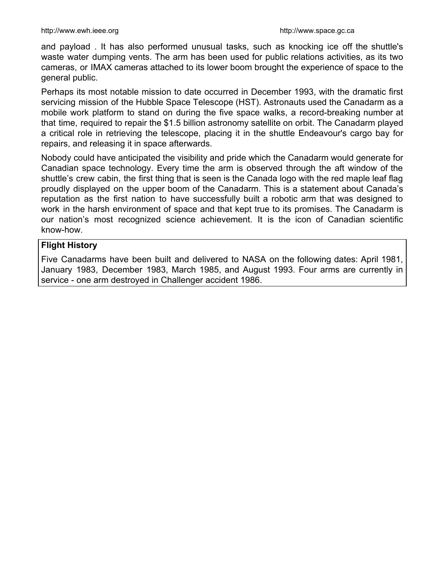and payload . It has also performed unusual tasks, such as knocking ice off the shuttle's waste water dumping vents. The arm has been used for public relations activities, as its two cameras, or IMAX cameras attached to its lower boom brought the experience of space to the general public.

Perhaps its most notable mission to date occurred in December 1993, with the dramatic first servicing mission of the Hubble Space Telescope (HST). Astronauts used the Canadarm as a mobile work platform to stand on during the five space walks, a record-breaking number at that time, required to repair the \$1.5 billion astronomy satellite on orbit. The Canadarm played a critical role in retrieving the telescope, placing it in the shuttle Endeavour's cargo bay for repairs, and releasing it in space afterwards.

Nobody could have anticipated the visibility and pride which the Canadarm would generate for Canadian space technology. Every time the arm is observed through the aft window of the shuttle's crew cabin, the first thing that is seen is the Canada logo with the red maple leaf flag proudly displayed on the upper boom of the Canadarm. This is a statement about Canada's reputation as the first nation to have successfully built a robotic arm that was designed to work in the harsh environment of space and that kept true to its promises. The Canadarm is our nation's most recognized science achievement. It is the icon of Canadian scientific know-how.

## **Flight History**

Five Canadarms have been built and delivered to NASA on the following dates: April 1981, January 1983, December 1983, March 1985, and August 1993. Four arms are currently in service - one arm destroyed in Challenger accident 1986.